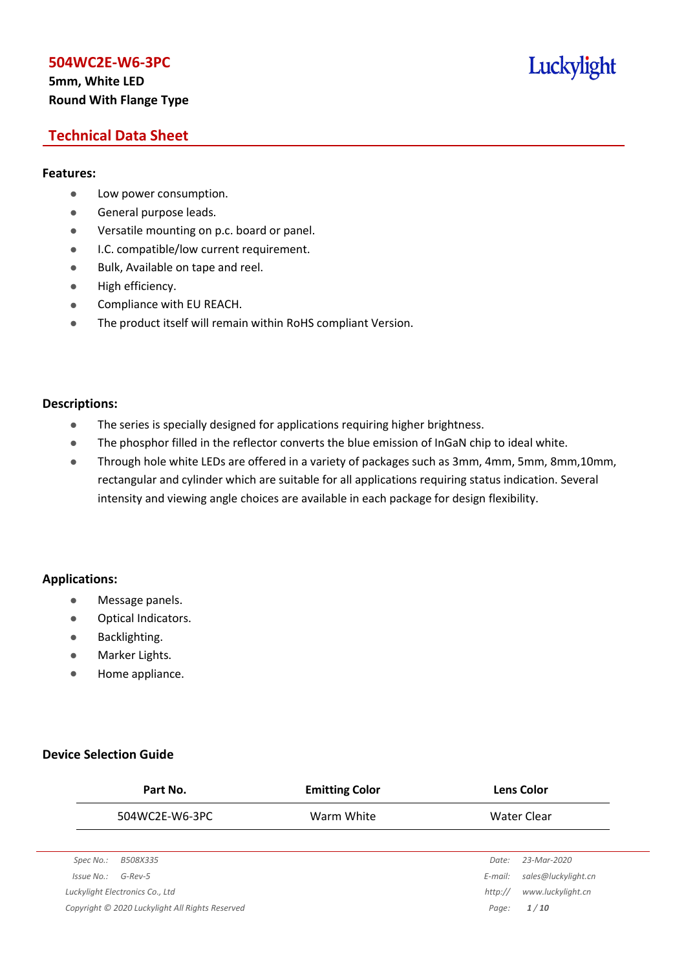## **5mm, White LED Round With Flange Type**

# Luckylight

## **Technical Data Sheet**

#### **Features:**

- **•** Low power consumption.
- **General purpose leads.**
- Versatile mounting on p.c. board or panel.
- **I.C. compatible/low current requirement.**
- Bulk, Available on tape and reel.
- $\bullet$  High efficiency.
- **•** Compliance with EU REACH.
- The product itself will remain within RoHS compliant Version.

#### **Descriptions:**

- The series is specially designed for applications requiring higher brightness.
- The phosphor filled in the reflector converts the blue emission of InGaN chip to ideal white.
- Through hole white LEDs are offered in a variety of packages such as 3mm, 4mm, 5mm, 8mm,10mm, rectangular and cylinder which are suitable for all applications requiring status indication. Several intensity and viewing angle choices are available in each package for design flexibility.

#### **Applications:**

- **•** Message panels.
- Optical Indicators.
- Backlighting.
- Marker Lights.
- Home appliance.

#### **Device Selection Guide**

|            | Part No.                                        | <b>Emitting Color</b> |         | <b>Lens Color</b>   |
|------------|-------------------------------------------------|-----------------------|---------|---------------------|
|            | 504WC2E-W6-3PC                                  | Warm White            |         | Water Clear         |
|            |                                                 |                       |         |                     |
| Spec No.:  | B508X335                                        |                       | Date:   | 23-Mar-2020         |
| Issue No.: | $G$ -Rev-5                                      |                       | E-mail: | sales@luckylight.cn |
|            | Luckylight Electronics Co., Ltd                 |                       | http:// | www.luckylight.cn   |
|            | Copyright © 2020 Luckylight All Rights Reserved |                       | Page:   | 1/10                |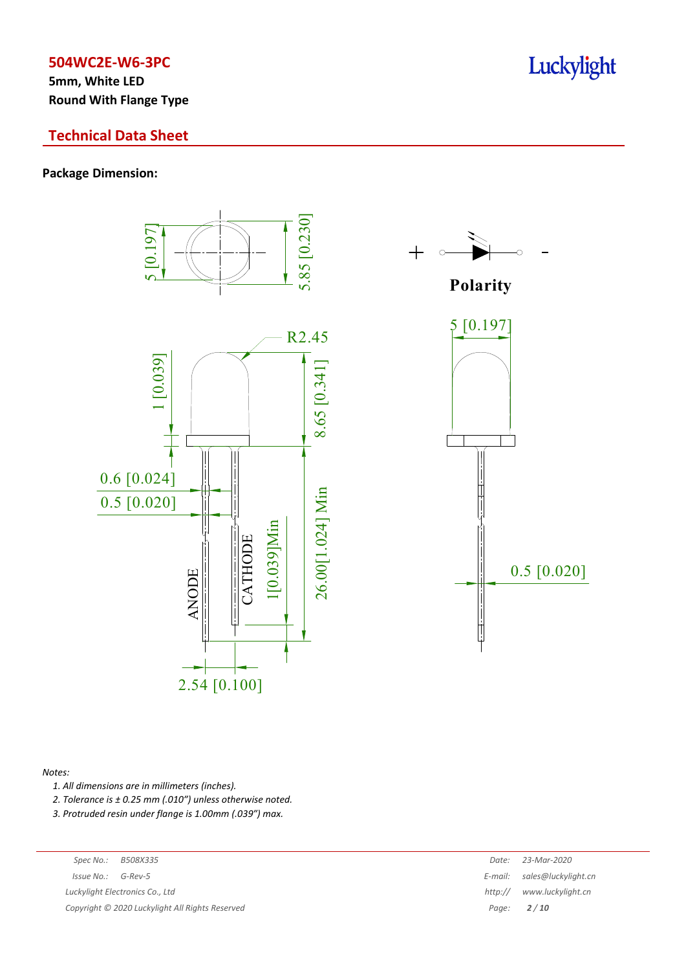**5mm, White LED Round With Flange Type**

## **Technical Data Sheet**

#### **Package Dimension:**



#### *Notes:*

*1. All dimensions are in millimeters (inches).*

*2. Tolerance is ± 0.25 mm (.010″) unless otherwise noted.*

*3. Protruded resin under flange is 1.00mm (.039″) max.*

*Luckylight Electronics Co., Ltd* 

*Copyright © 2020 Luckylight All Rights Reserved Page: 2 / 10*

| Spec No.:                                     | B508X335                      | Date:   | 23-Mar-2020                 |
|-----------------------------------------------|-------------------------------|---------|-----------------------------|
| 'ssue No.:                                    | G-Rev-5                       |         | E-mail: sales@luckylight.cn |
|                                               | ckylight Electronics Co., Ltd | http:// | www.luckvliaht.cn           |
| pyright © 2020 Luckylight All Rights Reserved |                               |         | Page: $2/10$                |

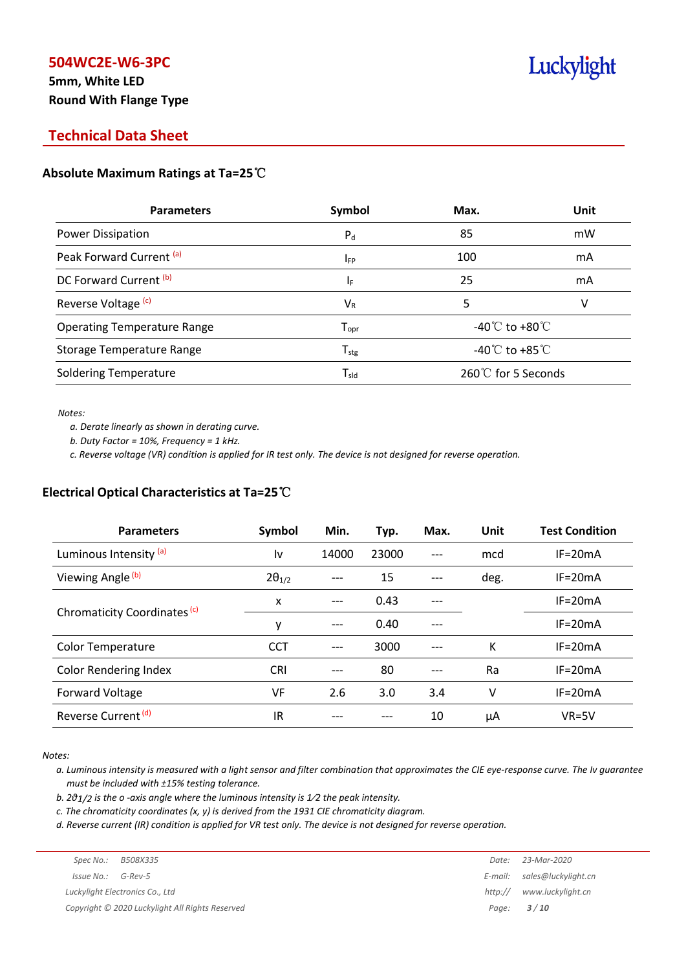# **5mm, White LED Round With Flange Type**

# Luckylight

# **Technical Data Sheet**

## **Absolute Maximum Ratings at Ta=25**℃

| <b>Parameters</b>                  | Symbol                       | Max.                                 | Unit |
|------------------------------------|------------------------------|--------------------------------------|------|
| Power Dissipation                  | $P_{d}$                      | 85                                   | mW   |
| Peak Forward Current (a)           | <b>IFP</b>                   | 100                                  | mA   |
| DC Forward Current (b)             | ΙF                           | 25                                   | mA   |
| Reverse Voltage <sup>(c)</sup>     | $V_{R}$                      | 5                                    | V    |
| <b>Operating Temperature Range</b> | ${\mathsf T}_{\textsf{opr}}$ | -40 $^{\circ}$ C to +80 $^{\circ}$ C |      |
| <b>Storage Temperature Range</b>   | ${\mathsf T}_{\text{stg}}$   | -40 $^{\circ}$ C to +85 $^{\circ}$ C |      |
| <b>Soldering Temperature</b>       | $\mathsf{T}_{\mathsf{sld}}$  | 260℃ for 5 Seconds                   |      |

*Notes:*

*a. Derate linearly as shown in derating curve.*

*b. Duty Factor = 10%, Frequency = 1 kHz.*

c. Reverse voltage (VR) condition is applied for IR test only. The device is not designed for reverse operation.

## **Electrical Optical Characteristics at Ta=25**℃

| <b>Parameters</b>                       | Symbol          | Min.  | Typ.  | Max. | Unit | <b>Test Condition</b> |
|-----------------------------------------|-----------------|-------|-------|------|------|-----------------------|
| Luminous Intensity (a)                  | l٧              | 14000 | 23000 |      | mcd  | $IF = 20mA$           |
| Viewing Angle <sup>(b)</sup>            | $2\theta_{1/2}$ |       | 15    |      | deg. | $IF = 20mA$           |
|                                         | x               | $---$ | 0.43  |      |      | $IF = 20mA$           |
| Chromaticity Coordinates <sup>(c)</sup> | y               | ---   | 0.40  |      |      | $IF=20mA$             |
| <b>Color Temperature</b>                | <b>CCT</b>      |       | 3000  |      | К    | $IF = 20mA$           |
| <b>Color Rendering Index</b>            | <b>CRI</b>      |       | 80    |      | Ra   | $IF = 20mA$           |
| Forward Voltage                         | VF              | 2.6   | 3.0   | 3.4  | ٧    | $IF = 20mA$           |
| Reverse Current <sup>(d)</sup>          | IR              |       |       | 10   | μA   | $VR=5V$               |

*Notes:*

a. Luminous intensity is measured with a light sensor and filter combination that approximates the CIE eye-response curve. The Iv guarantee *must be included with ±15% testing tolerance.*

*b. 2θ1/2 is the o -axis angle where the luminous intensity is 1⁄2 the peak intensity.*

*c. The chromaticity coordinates (x, y) is derived from the 1931 CIE chromaticity diagram.*

d. Reverse current (IR) condition is applied for VR test only. The device is not designed for reverse operation.

| Spec No.:              | B508X335                                        | Date:   | 23-Mar-2020                 |
|------------------------|-------------------------------------------------|---------|-----------------------------|
| $Is sue No.:  G-Rev-5$ |                                                 |         | E-mail: sales@luckylight.cn |
|                        | Luckylight Electronics Co., Ltd                 | http:// | www.luckylight.cn           |
|                        | Copyright © 2020 Luckylight All Rights Reserved |         | Page: <b>3/10</b>           |
|                        |                                                 |         |                             |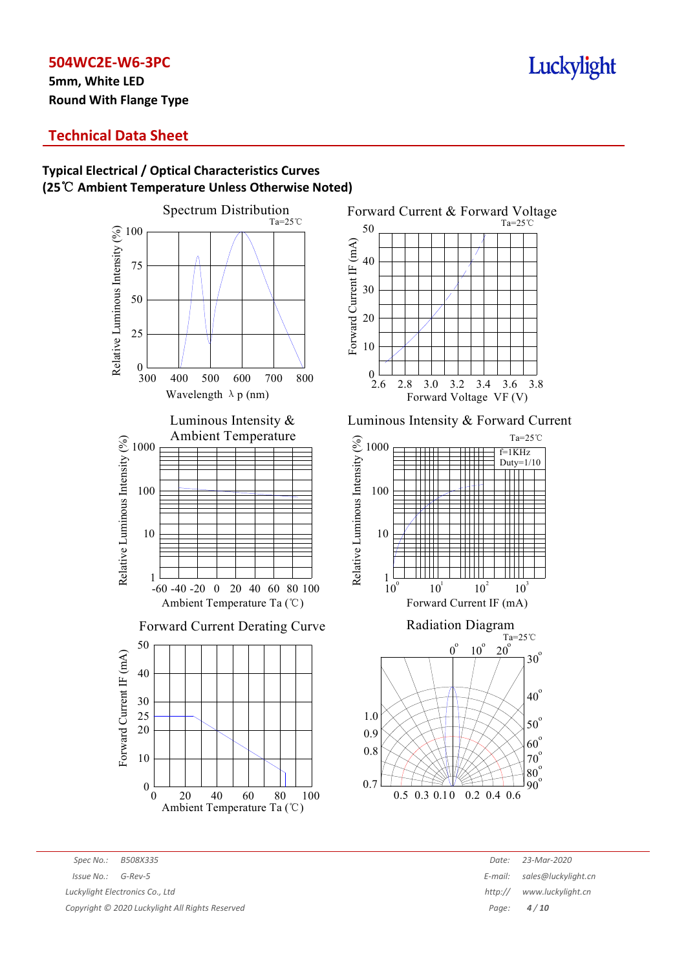**5mm, White LED Round With Flange Type**

## **Technical Data Sheet**

# **Typical Electrical / Optical Characteristics Curves (25**℃ **Ambient Temperature Unless Otherwise Noted)**







*Spec No.: B508X335 Date: 23-Mar-2020 Issue No.: G-Rev-5 E-mail: sales@luckylight.cn Luckylight Electronics Co., Ltd http:// www.luckylight.cn*

*Copyright © 2020 Luckylight All Rights Reserved Page: 4 / 10*

# Luckylight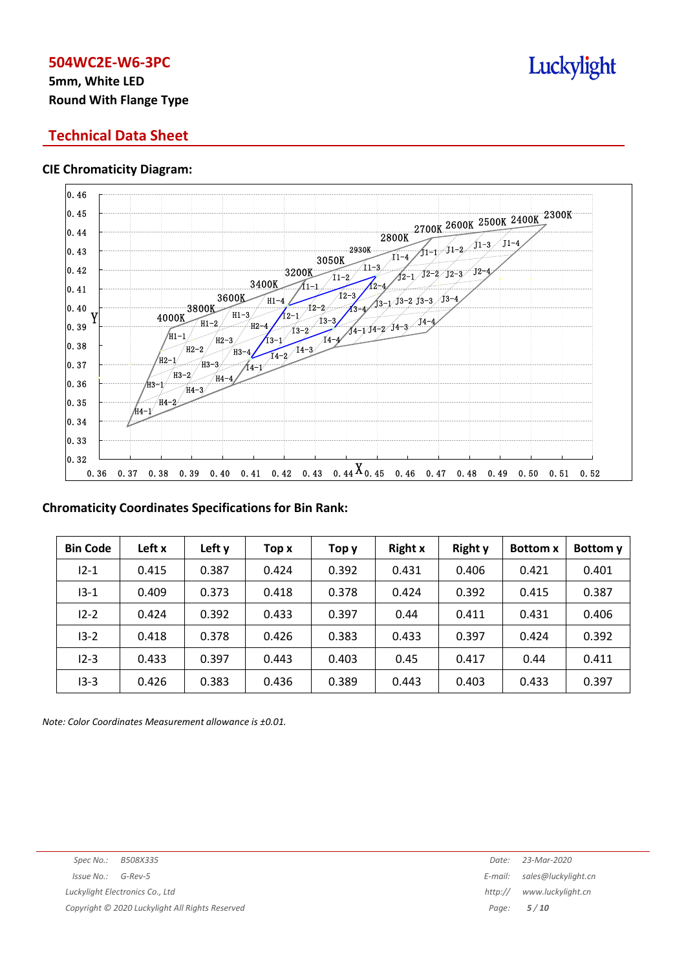# **5mm, White LED Round With Flange Type**

## **Technical Data Sheet**

#### **CIE Chromaticity Diagram:**



#### **Chromaticity Coordinates Specifications for Bin Rank:**

| <b>Bin Code</b> | Left x | Left y | Top x | Тор у | <b>Right x</b> | <b>Right y</b> | <b>Bottom x</b> | Bottom y |
|-----------------|--------|--------|-------|-------|----------------|----------------|-----------------|----------|
| $12 - 1$        | 0.415  | 0.387  | 0.424 | 0.392 | 0.431          | 0.406          | 0.421           | 0.401    |
| $13 - 1$        | 0.409  | 0.373  | 0.418 | 0.378 | 0.424          | 0.392          | 0.415           | 0.387    |
| $12 - 2$        | 0.424  | 0.392  | 0.433 | 0.397 | 0.44           | 0.411          | 0.431           | 0.406    |
| $13 - 2$        | 0.418  | 0.378  | 0.426 | 0.383 | 0.433          | 0.397          | 0.424           | 0.392    |
| $12 - 3$        | 0.433  | 0.397  | 0.443 | 0.403 | 0.45           | 0.417          | 0.44            | 0.411    |
| $13 - 3$        | 0.426  | 0.383  | 0.436 | 0.389 | 0.443          | 0.403          | 0.433           | 0.397    |

*Note: Color Coordinates Measurement allowance is ±0.01.*

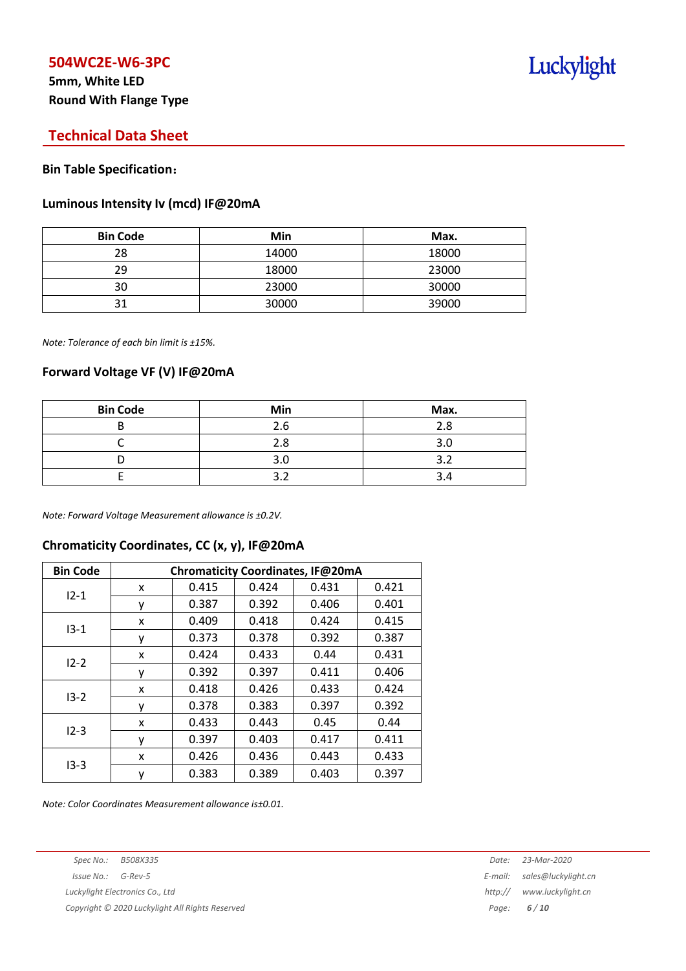# **5mm, White LED Round With Flange Type**

## **Technical Data Sheet**

#### **Bin Table Specification**:

#### **Luminous Intensity Iv (mcd) IF@20mA**

| <b>Bin Code</b> | Min   | Max.  |
|-----------------|-------|-------|
| 28              | 14000 | 18000 |
| 29              | 18000 | 23000 |
| 30              | 23000 | 30000 |
| 31              | 30000 | 39000 |

*Note: Tolerance of each bin limit is ±15%.*

#### **Forward Voltage VF (V) IF@20mA**

| <b>Bin Code</b> | Min | Max. |
|-----------------|-----|------|
|                 | 2.6 | 2.8  |
|                 | 2.8 | 3.0  |
|                 | 3.0 | ∍    |
|                 |     |      |

*Note: Forward Voltage Measurement allowance is ±0.2V.*

# **Chromaticity Coordinates, CC (x, y), IF@20mA**

| <b>Bin Code</b> | Chromaticity Coordinates, IF@20mA |       |       |       |       |  |
|-----------------|-----------------------------------|-------|-------|-------|-------|--|
| $12 - 1$        | x                                 | 0.415 | 0.424 | 0.431 | 0.421 |  |
|                 | ۷                                 | 0.387 | 0.392 | 0.406 | 0.401 |  |
|                 | x                                 | 0.409 | 0.418 | 0.424 | 0.415 |  |
| $13 - 1$        | у                                 | 0.373 | 0.378 | 0.392 | 0.387 |  |
| $12 - 2$        | x                                 | 0.424 | 0.433 | 0.44  | 0.431 |  |
|                 | ۷                                 | 0.392 | 0.397 | 0.411 | 0.406 |  |
| $13 - 2$        | x                                 | 0.418 | 0.426 | 0.433 | 0.424 |  |
|                 | ٧                                 | 0.378 | 0.383 | 0.397 | 0.392 |  |
| $12 - 3$        | x                                 | 0.433 | 0.443 | 0.45  | 0.44  |  |
|                 | ۷                                 | 0.397 | 0.403 | 0.417 | 0.411 |  |
|                 | x                                 | 0.426 | 0.436 | 0.443 | 0.433 |  |
| $13-3$          | ٧                                 | 0.383 | 0.389 | 0.403 | 0.397 |  |

*Note: Color Coordinates Measurement allowance is±0.01.*

*Spec No.: B508X335 Date: 23-Mar-2020*

*Copyright © 2020 Luckylight All Rights Reserved Page: 6 / 10*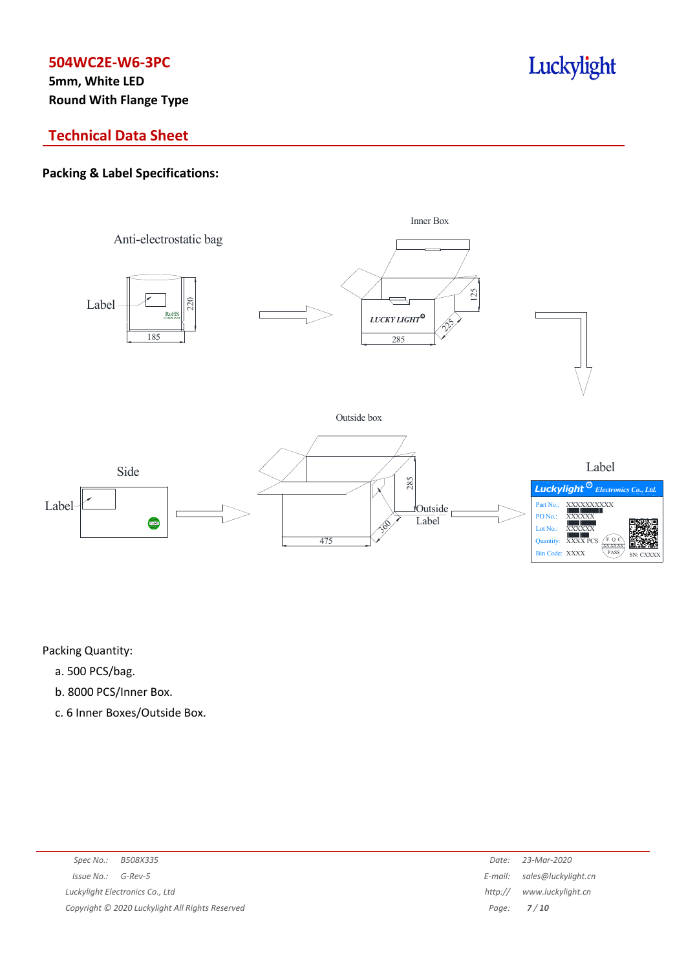**5mm, White LED Round With Flange Type**

# Luckylight

# **Technical Data Sheet**

## **Packing & Label Specifications:**



Packing Quantity:

- a. 500 PCS/bag.
- b. 8000 PCS/Inner Box.
- c. 6 Inner Boxes/Outside Box.

| Spec No.:<br>B508X335                           | Date:   | 23-Mar-2020                 |
|-------------------------------------------------|---------|-----------------------------|
| Issue No.:<br>G-Rev-5                           |         | E-mail: sales@luckylight.cn |
| Luckylight Electronics Co., Ltd                 | http:// | www.luckylight.cn           |
| Copyright © 2020 Luckylight All Rights Reserved |         | Page: $7/10$                |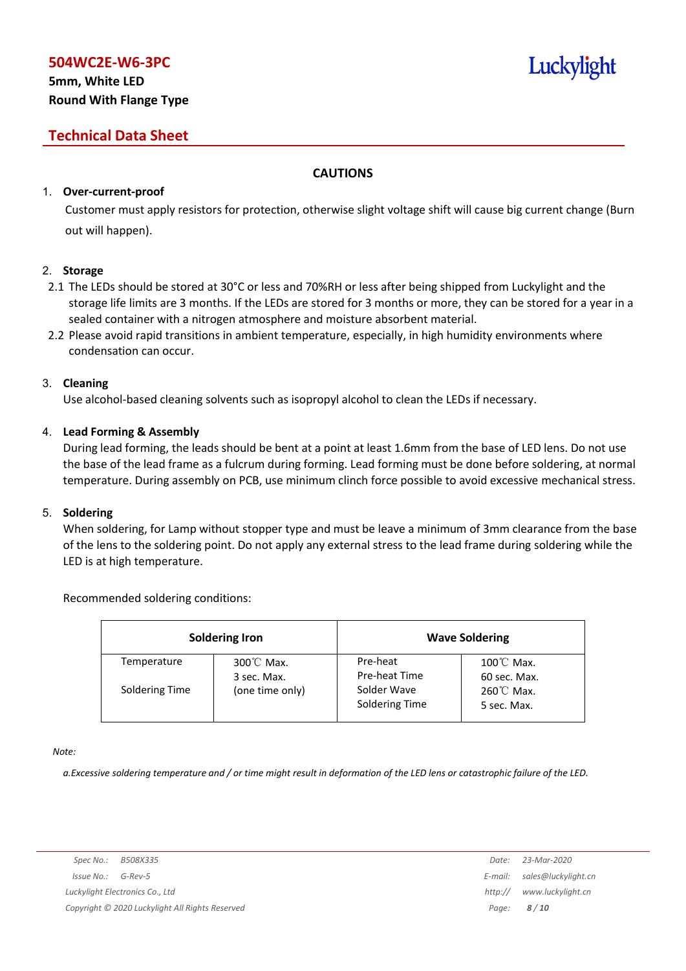# **5mm, White LED Round With Flange Type**

# **Technical Data Sheet**

## **CAUTIONS**

## 1. **Over-current-proof**

Customer must apply resistors for protection, otherwise slight voltage shift will cause big current change (Burn out will happen).

#### 2. **Storage**

- 2.1 The LEDs should be stored at 30°C or less and 70%RH or less after being shipped from Luckylight and the storage life limits are 3 months. If the LEDs are stored for 3 months or more, they can be stored for a year in a sealed container with a nitrogen atmosphere and moisture absorbent material.
- 2.2 Please avoid rapid transitions in ambient temperature, especially, in high humidity environments where condensation can occur.

#### 3. **Cleaning**

Use alcohol-based cleaning solvents such as isopropyl alcohol to clean the LEDs if necessary.

#### 4. **Lead Forming & Assembly**

During lead forming, the leads should be bent at a point at least 1.6mm from the base of LED lens. Do not use the base of the lead frame as a fulcrum during forming. Lead forming must be done before soldering, at normal temperature. During assembly on PCB, use minimum clinch force possible to avoid excessive mechanical stress.

#### 5. **Soldering**

When soldering, for Lamp without stopper type and must be leave a minimum of 3mm clearance from the base of the lens to the soldering point. Do not apply any external stress to the lead frame during soldering while the LED is at high temperature.

#### Recommended soldering conditions:

|                | <b>Soldering Iron</b>               | <b>Wave Soldering</b>         |                                      |  |
|----------------|-------------------------------------|-------------------------------|--------------------------------------|--|
| Temperature    | $300^{\circ}$ C Max.<br>3 sec. Max. | Pre-heat<br>Pre-heat Time     | $100^{\circ}$ C Max.<br>60 sec. Max. |  |
| Soldering Time | (one time only)                     | Solder Wave<br>Soldering Time | $260^{\circ}$ C Max.<br>5 sec. Max.  |  |

*Note:*

a. Excessive soldering temperature and / or time might result in deformation of the LED lens or catastrophic failure of the LED.

Luckylight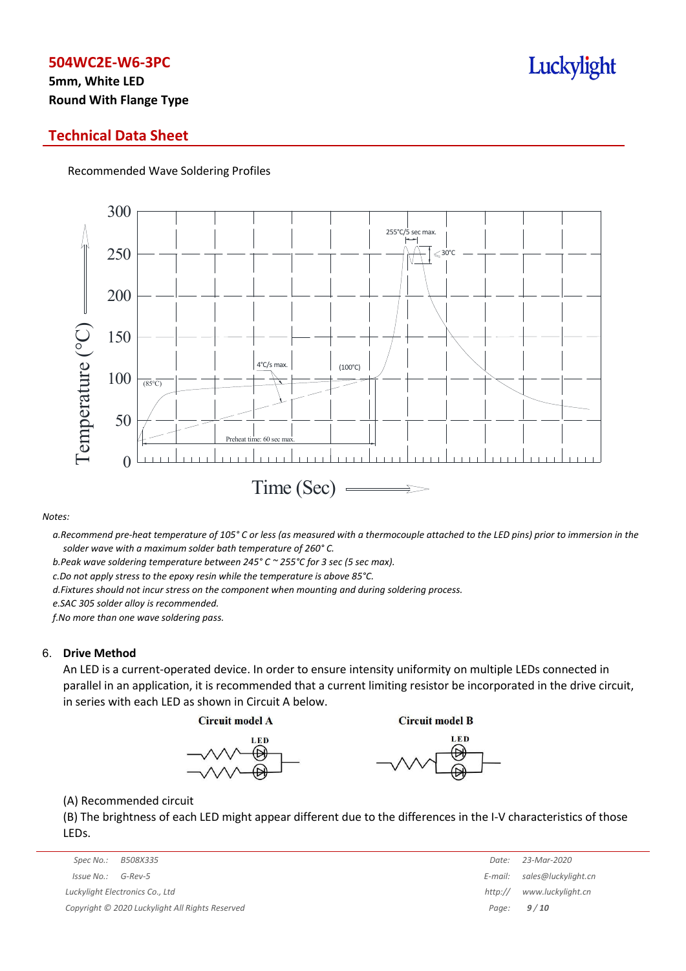# **5mm, White LED Round With Flange Type**

## **Technical Data Sheet**

Recommended Wave Soldering Profiles



*Notes:*

a. Recommend pre-heat temperature of 105° C or less (as measured with a thermocouple attached to the LED pins) prior to immersion in the *solder wave with a maximum solder bath temperature of 260° C.*

*b.Peak wave soldering temperature between 245° C ~ 255°C for 3 sec (5 sec max).*

*c.Do not apply stress to the epoxy resin while the temperature is above 85°C.*

*d.Fixtures should not incur stress on the component when mounting and during soldering process.*

*e.SAC 305 solder alloy is recommended.*

*f.No more than one wave soldering pass.*

#### 6. **Drive Method**

An LED is a current-operated device. In order to ensure intensity uniformity on multiple LEDs connected in parallel in an application, it is recommended that a current limiting resistor be incorporated in the drive circuit, in series with each LED as shown in Circuit A below.

**Circuit model A** 

**Circuit model B** 





(A) Recommended circuit

(B) The brightness of each LED might appear different due to the differences in the I-V characteristics of those LEDs.

| Spec No.:  | B508X335                                        | Date:   | 23-Mar-2020         |
|------------|-------------------------------------------------|---------|---------------------|
| Issue No.: | G-Rev-5                                         | E-mail: | sales@luckylight.cn |
|            | Luckylight Electronics Co., Ltd                 | http:// | www.luckylight.cn   |
|            | Copyright © 2020 Luckylight All Rights Reserved |         | Page: $9/10$        |

|         | Date: 23-Mar-2020   |
|---------|---------------------|
| E-mail: | sales@luckylight.cn |
| http:// | www.luckylight.cn   |
| Page:   | 9/10                |